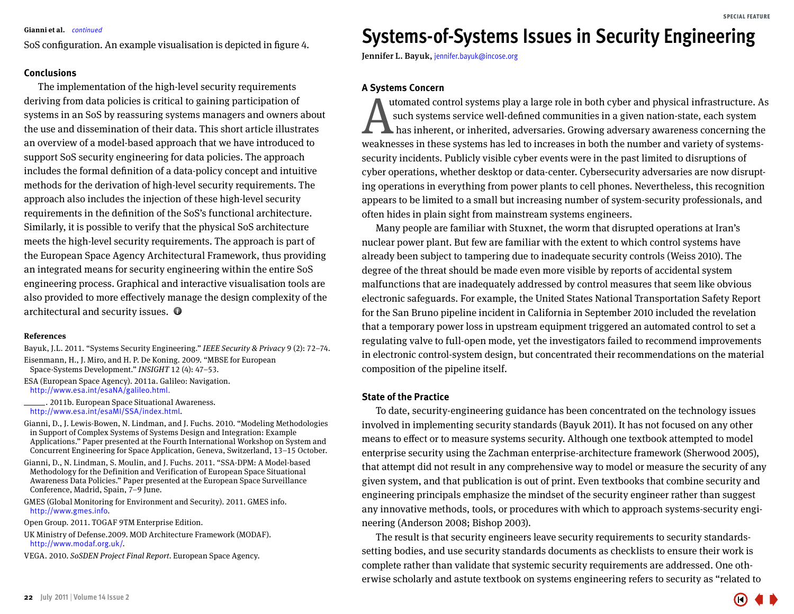SoS configuration. An example visualisation is depicted in figure 4.

## **Conclusions**

The implementation of the high-level security requirements deriving from data policies is critical to gaining participation of systems in an SoS by reassuring systems managers and owners about the use and dissemination of their data. This short article illustrates an overview of a model-based approach that we have introduced to support SoS security engineering for data policies. The approach includes the formal definition of a data-policy concept and intuitive methods for the derivation of high-level security requirements. The approach also includes the injection of these high-level security requirements in the definition of the SoS's functional architecture. Similarly, it is possible to verify that the physical SoS architecture meets the high-level security requirements. The approach is part of the European Space Agency Architectural Framework, thus providing an integrated means for security engineering within the entire SoS engineering process. Graphical and interactive visualisation tools are also provided to more effectively manage the design complexity of the architectural and security issues.  $\bullet$ 

#### **References**

Bayuk, J.L. 2011. "Systems Security Engineering." IEEE Security & Privacy 9 (2): 72–74. Eisenmann, H., J. Miro, and H. P. De Koning. 2009. "MBSE for European Space-Systems Development." INSIGHT 12 (4): 47–53.

ESA (European Space Agency). 2011a. Galileo: Navigation. http://www.esa.int/esaNA/galileo.html.

 . 2011b. European Space Situational Awareness. http://www.esa.int/esaMI/SSA/index.html.

Gianni, D., J. Lewis-Bowen, N. Lindman, and J. Fuchs. 2010. "Modeling Methodologies in Support of Complex Systems of Systems Design and Integration: Example Applications." Paper presented at the Fourth International Workshop on System and Concurrent Engineering for Space Application, Geneva, Switzerland, 13–15 October.

Gianni, D., N. Lindman, S. Moulin, and J. Fuchs. 2011. "SSA-DPM: A Model-based Methodology for the Definition and Verification of European Space Situational Awareness Data Policies." Paper presented at the European Space Surveillance Conference, Madrid, Spain, 7–9 June.

GMES (Global Monitoring for Environment and Security). 2011. GMES info. http://www.gmes.info.

Open Group. 2011. TOGAF 9TM Enterprise Edition.

UK Ministry of Defense.2009. MOD Architecture Framework (MODAF). http://www.modaf.org.uk/.

VEGA. 2010. SoSDEN Project Final Report. European Space Agency.

# **Systems-of-Systems Issues in Security Engineering**

Jennifer L. Bayuk, jennifer.bayuk@incose.org

#### **A Systems Concern**

utomated control systems play a large role in both cyber and physical infrastructure. As such systems service well-defined communities in a given nation-state, each system has inherent, or inherited, adversaries. Growing adversary awareness concerning the wtomated control systems play a large role in both cyber and physical infrastructure. A<br>such systems service well-defined communities in a given nation-state, each system<br>has inherent, or inherited, adversaries. Growing ad security incidents. Publicly visible cyber events were in the past limited to disruptions of cyber operations, whether desktop or data-center. Cybersecurity adversaries are now disrupting operations in everything from power plants to cell phones. Nevertheless, this recognition appears to be limited to a small but increasing number of system-security professionals, and often hides in plain sight from mainstream systems engineers.

Many people are familiar with Stuxnet, the worm that disrupted operations at Iran's nuclear power plant. But few are familiar with the extent to which control systems have already been subject to tampering due to inadequate security controls (Weiss 2010). The degree of the threat should be made even more visible by reports of accidental system malfunctions that are inadequately addressed by control measures that seem like obvious electronic safeguards. For example, the United States National Transportation Safety Report for the San Bruno pipeline incident in California in September 2010 included the revelation that a temporary power loss in upstream equipment triggered an automated control to set a regulating valve to full-open mode, yet the investigators failed to recommend improvements in electronic control-system design, but concentrated their recommendations on the material composition of the pipeline itself.

# **State of the Practice**

To date, security-engineering guidance has been concentrated on the technology issues involved in implementing security standards (Bayuk 2011). It has not focused on any other means to effect or to measure systems security. Although one textbook attempted to model enterprise security using the Zachman enterprise-architecture framework (Sherwood 2005), that attempt did not result in any comprehensive way to model or measure the security of any given system, and that publication is out of print. Even textbooks that combine security and engineering principals emphasize the mindset of the security engineer rather than suggest any innovative methods, tools, or procedures with which to approach systems-security engineering (Anderson 2008; Bishop 2003).

The result is that security engineers leave security requirements to security standardssetting bodies, and use security standards documents as checklists to ensure their work is complete rather than validate that systemic security requirements are addressed. One otherwise scholarly and astute textbook on systems engineering refers to security as "related to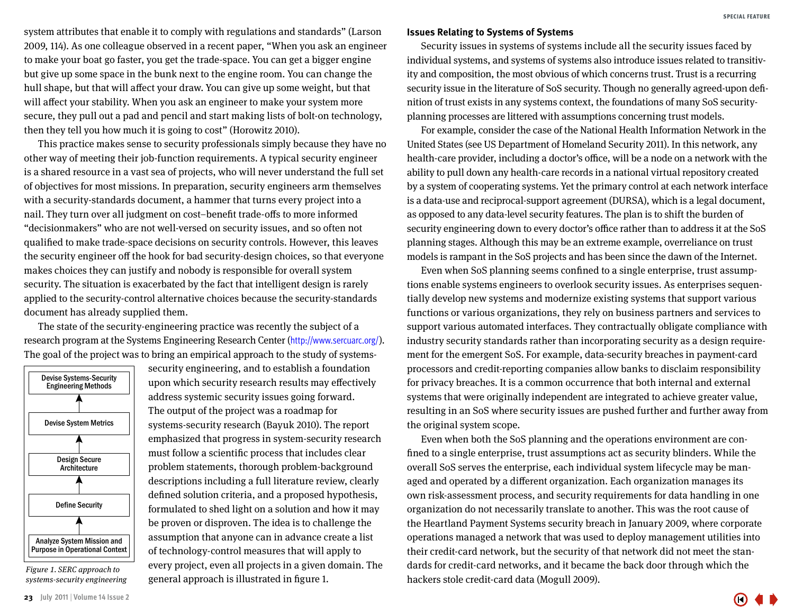system attributes that enable it to comply with regulations and standards" (Larson 2009, 114). As one colleague observed in a recent paper, "When you ask an engineer to make your boat go faster, you get the trade-space. You can get a bigger engine but give up some space in the bunk next to the engine room. You can change the hull shape, but that will affect your draw. You can give up some weight, but that will affect your stability. When you ask an engineer to make your system more secure, they pull out a pad and pencil and start making lists of bolt-on technology, then they tell you how much it is going to cost" (Horowitz 2010).

This practice makes sense to security professionals simply because they have no other way of meeting their job-function requirements. A typical security engineer is a shared resource in a vast sea of projects, who will never understand the full set of objectives for most missions. In preparation, security engineers arm themselves with a security-standards document, a hammer that turns every project into a nail. They turn over all judgment on cost–benefit trade-offs to more informed "decisionmakers" who are not well-versed on security issues, and so often not qualified to make trade-space decisions on security controls. However, this leaves the security engineer off the hook for bad security-design choices, so that everyone makes choices they can justify and nobody is responsible for overall system security. The situation is exacerbated by the fact that intelligent design is rarely applied to the security-control alternative choices because the security-standards document has already supplied them.

The state of the security-engineering practice was recently the subject of a research program at the Systems Engineering Research Center (http://www.sercuarc.org/). The goal of the project was to bring an empirical approach to the study of systems-



Figure 1. SERC approach to systems-security engineering security engineering, and to establish a foundation upon which security research results may effectively address systemic security issues going forward. The output of the project was a roadmap for systems-security research (Bayuk 2010). The report emphasized that progress in system-security research must follow a scientific process that includes clear problem statements, thorough problem-background descriptions including a full literature review, clearly defined solution criteria, and a proposed hypothesis, formulated to shed light on a solution and how it may be proven or disproven. The idea is to challenge the assumption that anyone can in advance create a list of technology-control measures that will apply to every project, even all projects in a given domain. The general approach is illustrated in figure 1.

## **Issues Relating to Systems of Systems**

Security issues in systems of systems include all the security issues faced by individual systems, and systems of systems also introduce issues related to transitivity and composition, the most obvious of which concerns trust. Trust is a recurring security issue in the literature of SoS security. Though no generally agreed-upon definition of trust exists in any systems context, the foundations of many SoS securityplanning processes are littered with assumptions concerning trust models.

For example, consider the case of the National Health Information Network in the United States (see US Department of Homeland Security 2011). In this network, any health-care provider, including a doctor's office, will be a node on a network with the ability to pull down any health-care records in a national virtual repository created by a system of cooperating systems. Yet the primary control at each network interface is a data-use and reciprocal-support agreement (DURSA), which is a legal document, as opposed to any data-level security features. The plan is to shift the burden of security engineering down to every doctor's office rather than to address it at the SoS planning stages. Although this may be an extreme example, overreliance on trust models is rampant in the SoS projects and has been since the dawn of the Internet.

Even when SoS planning seems confined to a single enterprise, trust assumptions enable systems engineers to overlook security issues. As enterprises sequentially develop new systems and modernize existing systems that support various functions or various organizations, they rely on business partners and services to support various automated interfaces. They contractually obligate compliance with industry security standards rather than incorporating security as a design requirement for the emergent SoS. For example, data-security breaches in payment-card processors and credit-reporting companies allow banks to disclaim responsibility for privacy breaches. It is a common occurrence that both internal and external systems that were originally independent are integrated to achieve greater value, resulting in an SoS where security issues are pushed further and further away from the original system scope.

Even when both the SoS planning and the operations environment are confined to a single enterprise, trust assumptions act as security blinders. While the overall SoS serves the enterprise, each individual system lifecycle may be managed and operated by a different organization. Each organization manages its own risk-assessment process, and security requirements for data handling in one organization do not necessarily translate to another. This was the root cause of the Heartland Payment Systems security breach in January 2009, where corporate operations managed a network that was used to deploy management utilities into their credit-card network, but the security of that network did not meet the standards for credit-card networks, and it became the back door through which the hackers stole credit-card data (Mogull 2009).